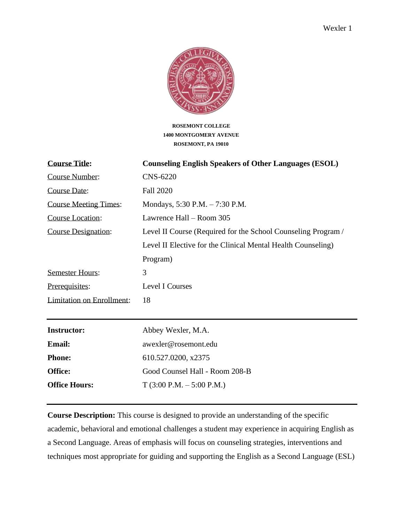

**ROSEMONT COLLEGE 1400 MONTGOMERY AVENUE ROSEMONT, PA 19010**

| <b>Course Title:</b>             | <b>Counseling English Speakers of Other Languages (ESOL)</b>  |
|----------------------------------|---------------------------------------------------------------|
| <b>Course Number:</b>            | <b>CNS-6220</b>                                               |
| Course Date:                     | <b>Fall 2020</b>                                              |
| <b>Course Meeting Times:</b>     | Mondays, 5:30 P.M. - 7:30 P.M.                                |
| Course Location:                 | Lawrence Hall – Room 305                                      |
| Course Designation:              | Level II Course (Required for the School Counseling Program / |
|                                  | Level II Elective for the Clinical Mental Health Counseling)  |
|                                  | Program)                                                      |
| <b>Semester Hours:</b>           | 3                                                             |
| Prerequisites:                   | Level I Courses                                               |
| <b>Limitation on Enrollment:</b> | 18                                                            |
|                                  |                                                               |
| <b>Instructor:</b>               | Abbey Wexler, M.A.                                            |
| <b>Email:</b>                    | awexler@rosemont.edu                                          |
| <b>Phone:</b>                    | 610.527.0200, x2375                                           |
| Office:                          | Good Counsel Hall - Room 208-B                                |
| <b>Office Hours:</b>             | $T(3:00 P.M. - 5:00 P.M.)$                                    |

**Course Description:** This course is designed to provide an understanding of the specific academic, behavioral and emotional challenges a student may experience in acquiring English as a Second Language. Areas of emphasis will focus on counseling strategies, interventions and techniques most appropriate for guiding and supporting the English as a Second Language (ESL)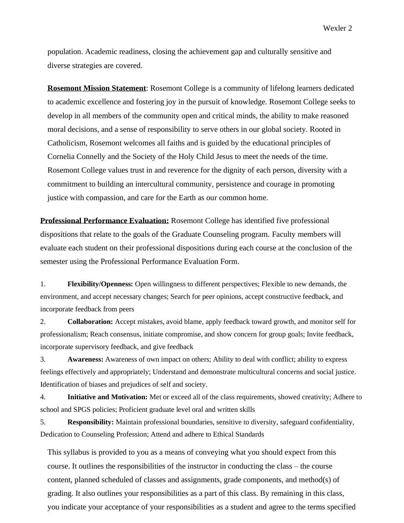Wexler 2

population. Academic readiness, closing the achievement gap and culturally sensitive and diverse strategies are covered.

**Rosemont Mission Statement**: Rosemont College is a community of lifelong learners dedicated to academic excellence and fostering joy in the pursuit of knowledge. Rosemont College seeks to develop in all members of the community open and critical minds, the ability to make reasoned moral decisions, and a sense of responsibility to serve others in our global society. Rooted in Catholicism, Rosemont welcomes all faiths and is guided by the educational principles of Cornelia Connelly and the Society of the Holy Child Jesus to meet the needs of the time. Rosemont College values trust in and reverence for the dignity of each person, diversity with a commitment to building an intercultural community, persistence and courage in promoting justice with compassion, and care for the Earth as our common home.

**Professional Performance Evaluation:** Rosemont College has identified five professional dispositions that relate to the goals of the Graduate Counseling program. Faculty members will evaluate each student on their professional dispositions during each course at the conclusion of the semester using the Professional Performance Evaluation Form.

1. **Flexibility/Openness:** Open willingness to different perspectives; Flexible to new demands, the environment, and accept necessary changes; Search for peer opinions, accept constructive feedback, and incorporate feedback from peers

2. **Collaboration:** Accept mistakes, avoid blame, apply feedback toward growth, and monitor self for professionalism; Reach consensus, initiate compromise, and show concern for group goals; Invite feedback, incorporate supervisory feedback, and give feedback

3. **Awareness:** Awareness of own impact on others; Ability to deal with conflict; ability to express feelings effectively and appropriately; Understand and demonstrate multicultural concerns and social justice. Identification of biases and prejudices of self and society.

4. **Initiative and Motivation:** Met or exceed all of the class requirements, showed creativity; Adhere to school and SPGS policies; Proficient graduate level oral and written skills

5. **Responsibility:** Maintain professional boundaries, sensitive to diversity, safeguard confidentiality, Dedication to Counseling Profession; Attend and adhere to Ethical Standards

This syllabus is provided to you as a means of conveying what you should expect from this course. It outlines the responsibilities of the instructor in conducting the class – the course content, planned scheduled of classes and assignments, grade components, and method(s) of grading. It also outlines your responsibilities as a part of this class. By remaining in this class, you indicate your acceptance of your responsibilities as a student and agree to the terms specified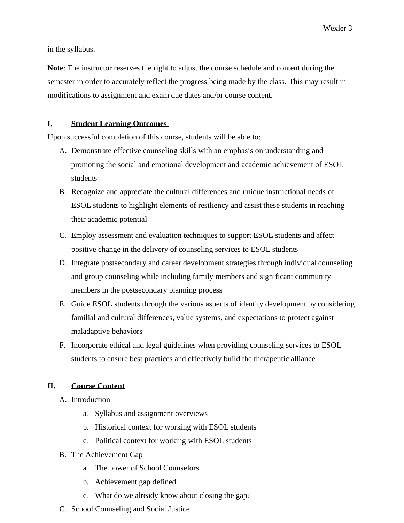in the syllabus.

**Note**: The instructor reserves the right to adjust the course schedule and content during the semester in order to accurately reflect the progress being made by the class. This may result in modifications to assignment and exam due dates and/or course content.

# **I. Student Learning Outcomes**

Upon successful completion of this course, students will be able to:

- A. Demonstrate effective counseling skills with an emphasis on understanding and promoting the social and emotional development and academic achievement of ESOL students
- B. Recognize and appreciate the cultural differences and unique instructional needs of ESOL students to highlight elements of resiliency and assist these students in reaching their academic potential
- C. Employ assessment and evaluation techniques to support ESOL students and affect positive change in the delivery of counseling services to ESOL students
- D. Integrate postsecondary and career development strategies through individual counseling and group counseling while including family members and significant community members in the postsecondary planning process
- E. Guide ESOL students through the various aspects of identity development by considering familial and cultural differences, value systems, and expectations to protect against maladaptive behaviors
- F. Incorporate ethical and legal guidelines when providing counseling services to ESOL students to ensure best practices and effectively build the therapeutic alliance

# **II. Course Content**

- A. Introduction
	- a. Syllabus and assignment overviews
	- b. Historical context for working with ESOL students
	- c. Political context for working with ESOL students
- B. The Achievement Gap
	- a. The power of School Counselors
	- b. Achievement gap defined
	- c. What do we already know about closing the gap?
- C. School Counseling and Social Justice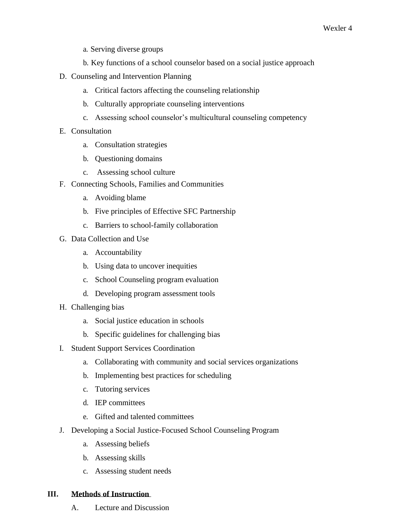- a. Serving diverse groups
- b. Key functions of a school counselor based on a social justice approach
- D. Counseling and Intervention Planning
	- a. Critical factors affecting the counseling relationship
	- b. Culturally appropriate counseling interventions
	- c. Assessing school counselor's multicultural counseling competency
- E. Consultation
	- a. Consultation strategies
	- b. Questioning domains
	- c. Assessing school culture
- F. Connecting Schools, Families and Communities
	- a. Avoiding blame
	- b. Five principles of Effective SFC Partnership
	- c. Barriers to school-family collaboration
- G. Data Collection and Use
	- a. Accountability
	- b. Using data to uncover inequities
	- c. School Counseling program evaluation
	- d. Developing program assessment tools
- H. Challenging bias
	- a. Social justice education in schools
	- b. Specific guidelines for challenging bias
- I. Student Support Services Coordination
	- a. Collaborating with community and social services organizations
	- b. Implementing best practices for scheduling
	- c. Tutoring services
	- d. IEP committees
	- e. Gifted and talented committees
- J. Developing a Social Justice-Focused School Counseling Program
	- a. Assessing beliefs
	- b. Assessing skills
	- c. Assessing student needs

#### **III. Methods of Instruction**

A. Lecture and Discussion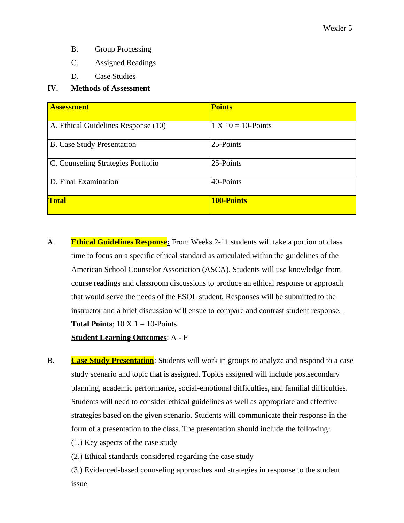- B. Group Processing
- C. Assigned Readings
- D. Case Studies

### **IV. Methods of Assessment**

| <b>Assessment</b>                   | <b>Points</b>         |
|-------------------------------------|-----------------------|
|                                     |                       |
| A. Ethical Guidelines Response (10) | $1 X 10 = 10$ -Points |
|                                     |                       |
| <b>B.</b> Case Study Presentation   | 25-Points             |
|                                     |                       |
| C. Counseling Strategies Portfolio  | 25-Points             |
|                                     |                       |
| D. Final Examination                | 40-Points             |
|                                     |                       |
| <b>Total</b>                        | 100-Points            |
|                                     |                       |

- A. **Ethical Guidelines Response:** From Weeks 2-11 students will take a portion of class time to focus on a specific ethical standard as articulated within the guidelines of the American School Counselor Association (ASCA). Students will use knowledge from course readings and classroom discussions to produce an ethical response or approach that would serve the needs of the ESOL student. Responses will be submitted to the instructor and a brief discussion will ensue to compare and contrast student response. **Total Points**:  $10 \text{ X } 1 = 10$ -Points **Student Learning Outcomes**: A - F
- B. **Case Study Presentation**: Students will work in groups to analyze and respond to a case study scenario and topic that is assigned. Topics assigned will include postsecondary planning, academic performance, social-emotional difficulties, and familial difficulties. Students will need to consider ethical guidelines as well as appropriate and effective strategies based on the given scenario. Students will communicate their response in the form of a presentation to the class. The presentation should include the following:
	- (1.) Key aspects of the case study
	- (2.) Ethical standards considered regarding the case study

(3.) Evidenced-based counseling approaches and strategies in response to the student issue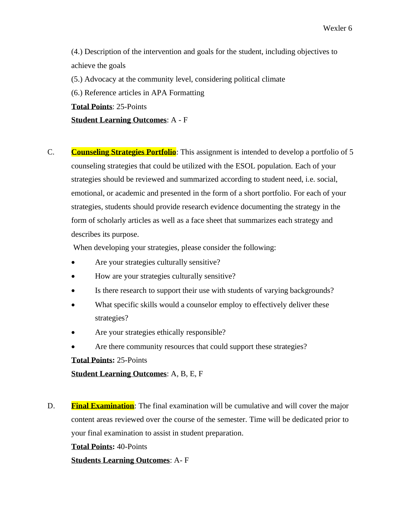Wexler 6

(4.) Description of the intervention and goals for the student, including objectives to achieve the goals

(5.) Advocacy at the community level, considering political climate

(6.) Reference articles in APA Formatting

**Total Points**: 25-Points

**Student Learning Outcomes**: A - F

C. **Counseling Strategies Portfolio**: This assignment is intended to develop a portfolio of 5 counseling strategies that could be utilized with the ESOL population. Each of your strategies should be reviewed and summarized according to student need, i.e. social, emotional, or academic and presented in the form of a short portfolio. For each of your strategies, students should provide research evidence documenting the strategy in the form of scholarly articles as well as a face sheet that summarizes each strategy and describes its purpose.

When developing your strategies, please consider the following:

- Are your strategies culturally sensitive?
- How are your strategies culturally sensitive?
- Is there research to support their use with students of varying backgrounds?
- What specific skills would a counselor employ to effectively deliver these strategies?
- Are your strategies ethically responsible?
- Are there community resources that could support these strategies?

**Total Points:** 25-Points

**Student Learning Outcomes**: A, B, E, F

D. **Final Examination**: The final examination will be cumulative and will cover the major content areas reviewed over the course of the semester. Time will be dedicated prior to your final examination to assist in student preparation.

**Total Points:** 40-Points

# **Students Learning Outcomes**: A- F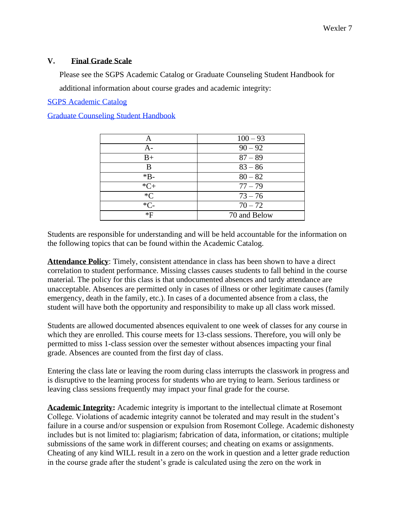### **V. Final Grade Scale**

Please see the SGPS Academic Catalog or Graduate Counseling Student Handbook for additional information about course grades and academic integrity:

SGPS Academic Catalog

Graduate Counseling Student Handbook

| Α      | $100 - 93$   |
|--------|--------------|
| A-     | $90 - 92$    |
| $B+$   | $87 - 89$    |
| B      | $83 - 86$    |
| $*B-$  | $80 - 82$    |
| $*C+$  | $77 - 79$    |
| $C^*C$ | $73 - 76$    |
| $*C-$  | $70 - 72$    |
| $*F$   | 70 and Below |

Students are responsible for understanding and will be held accountable for the information on the following topics that can be found within the Academic Catalog.

**Attendance Policy**: Timely, consistent attendance in class has been shown to have a direct correlation to student performance. Missing classes causes students to fall behind in the course material. The policy for this class is that undocumented absences and tardy attendance are unacceptable. Absences are permitted only in cases of illness or other legitimate causes (family emergency, death in the family, etc.). In cases of a documented absence from a class, the student will have both the opportunity and responsibility to make up all class work missed.

Students are allowed documented absences equivalent to one week of classes for any course in which they are enrolled. This course meets for 13-class sessions. Therefore, you will only be permitted to miss 1-class session over the semester without absences impacting your final grade. Absences are counted from the first day of class.

Entering the class late or leaving the room during class interrupts the classwork in progress and is disruptive to the learning process for students who are trying to learn. Serious tardiness or leaving class sessions frequently may impact your final grade for the course.

**Academic Integrity:** Academic integrity is important to the intellectual climate at Rosemont College. Violations of academic integrity cannot be tolerated and may result in the student's failure in a course and/or suspension or expulsion from Rosemont College. Academic dishonesty includes but is not limited to: plagiarism; fabrication of data, information, or citations; multiple submissions of the same work in different courses; and cheating on exams or assignments. Cheating of any kind WILL result in a zero on the work in question and a letter grade reduction in the course grade after the student's grade is calculated using the zero on the work in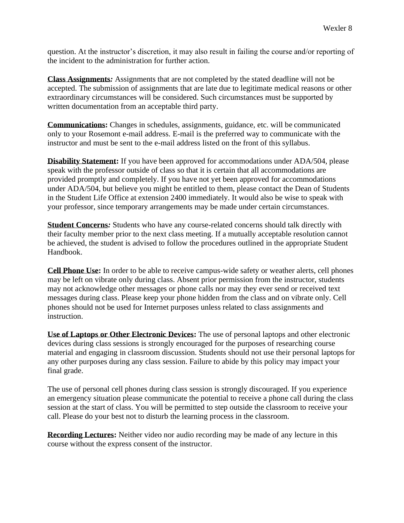question. At the instructor's discretion, it may also result in failing the course and/or reporting of the incident to the administration for further action.

**Class Assignments***:* Assignments that are not completed by the stated deadline will not be accepted. The submission of assignments that are late due to legitimate medical reasons or other extraordinary circumstances will be considered. Such circumstances must be supported by written documentation from an acceptable third party.

**Communications:** Changes in schedules, assignments, guidance, etc. will be communicated only to your Rosemont e-mail address. E-mail is the preferred way to communicate with the instructor and must be sent to the e-mail address listed on the front of this syllabus.

**Disability Statement:** If you have been approved for accommodations under ADA/504, please speak with the professor outside of class so that it is certain that all accommodations are provided promptly and completely. If you have not yet been approved for accommodations under ADA/504, but believe you might be entitled to them, please contact the Dean of Students in the Student Life Office at extension 2400 immediately. It would also be wise to speak with your professor, since temporary arrangements may be made under certain circumstances.

**Student Concerns***:* Students who have any course-related concerns should talk directly with their faculty member prior to the next class meeting. If a mutually acceptable resolution cannot be achieved, the student is advised to follow the procedures outlined in the appropriate Student Handbook.

**Cell Phone Use:** In order to be able to receive campus-wide safety or weather alerts, cell phones may be left on vibrate only during class. Absent prior permission from the instructor, students may not acknowledge other messages or phone calls nor may they ever send or received text messages during class. Please keep your phone hidden from the class and on vibrate only. Cell phones should not be used for Internet purposes unless related to class assignments and instruction.

**Use of Laptops or Other Electronic Devices:** The use of personal laptops and other electronic devices during class sessions is strongly encouraged for the purposes of researching course material and engaging in classroom discussion. Students should not use their personal laptops for any other purposes during any class session. Failure to abide by this policy may impact your final grade.

The use of personal cell phones during class session is strongly discouraged. If you experience an emergency situation please communicate the potential to receive a phone call during the class session at the start of class. You will be permitted to step outside the classroom to receive your call. Please do your best not to disturb the learning process in the classroom.

**Recording Lectures:** Neither video nor audio recording may be made of any lecture in this course without the express consent of the instructor.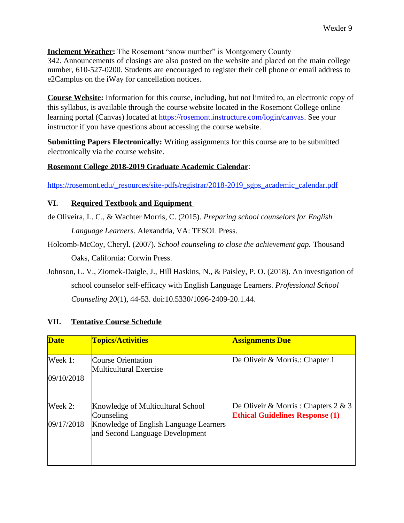**Inclement Weather:** The Rosemont "snow number" is Montgomery County 342. Announcements of closings are also posted on the website and placed on the main college number, 610-527-0200. Students are encouraged to register their cell phone or email address to e2Camplus on the iWay for cancellation notices.

**Course Website:** Information for this course, including, but not limited to, an electronic copy of this syllabus, is available through the course website located in the Rosemont College online learning portal (Canvas) located at [https://rosemont.instructure.com/login/canvas.](https://rosemont.instructure.com/login/canvas) See your instructor if you have questions about accessing the course website.

**Submitting Papers Electronically:** Writing assignments for this course are to be submitted electronically via the course website.

# **Rosemont College 2018-2019 Graduate Academic Calendar**:

[https://rosemont.edu/\\_resources/site-pdfs/registrar/2018-2019\\_sgps\\_academic\\_calendar.pdf](https://rosemont.edu/_resources/site-pdfs/registrar/2018-2019_sgps_academic_calendar.pdf)

# **VI. Required Textbook and Equipment**

de Oliveira, L. C., & Wachter Morris, C. (2015). *Preparing school counselors for English Language Learners*. Alexandria, VA: TESOL Press.

- Holcomb-McCoy, Cheryl. (2007). *School counseling to close the achievement gap.* Thousand Oaks, California: Corwin Press.
- Johnson, L. V., Ziomek-Daigle, J., Hill Haskins, N., & Paisley, P. O. (2018). An investigation of school counselor self-efficacy with English Language Learners. *Professional School Counseling 20*(1), 44-53. doi:10.5330/1096-2409-20.1.44.

| <b>Date</b> | <b>Topics/Activities</b>                                                  | <b>Assignments Due</b>                                                            |
|-------------|---------------------------------------------------------------------------|-----------------------------------------------------------------------------------|
| Week 1:     | <b>Course Orientation</b><br>Multicultural Exercise                       | De Oliveir & Morris.: Chapter 1                                                   |
| 09/10/2018  |                                                                           |                                                                                   |
| Week 2:     | Knowledge of Multicultural School<br>Counseling                           | De Oliveir & Morris : Chapters $2 \& 3$<br><b>Ethical Guidelines Response (1)</b> |
| 09/17/2018  | Knowledge of English Language Learners<br>and Second Language Development |                                                                                   |
|             |                                                                           |                                                                                   |

# **VII. Tentative Course Schedule**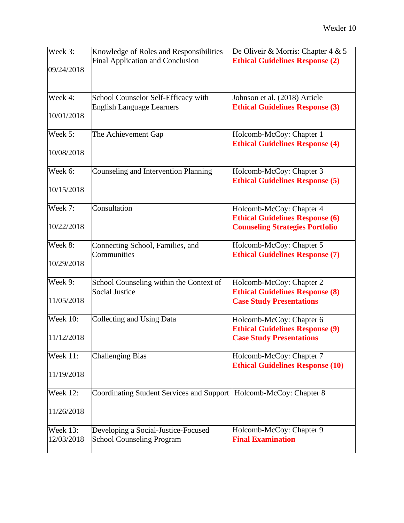| Week 3:                       | Knowledge of Roles and Responsibilities<br>Final Application and Conclusion | De Oliveir & Morris: Chapter 4 & 5<br><b>Ethical Guidelines Response (2)</b> |
|-------------------------------|-----------------------------------------------------------------------------|------------------------------------------------------------------------------|
| 09/24/2018                    |                                                                             |                                                                              |
| Week 4:                       | School Counselor Self-Efficacy with<br><b>English Language Learners</b>     | Johnson et al. (2018) Article<br><b>Ethical Guidelines Response (3)</b>      |
| 10/01/2018                    |                                                                             |                                                                              |
| Week 5:                       | The Achievement Gap                                                         | Holcomb-McCoy: Chapter 1<br><b>Ethical Guidelines Response (4)</b>           |
| 10/08/2018                    |                                                                             |                                                                              |
| Week 6:                       | Counseling and Intervention Planning                                        | Holcomb-McCoy: Chapter 3<br><b>Ethical Guidelines Response (5)</b>           |
| 10/15/2018                    |                                                                             |                                                                              |
| Week 7:                       | Consultation                                                                | Holcomb-McCoy: Chapter 4<br><b>Ethical Guidelines Response (6)</b>           |
| 10/22/2018                    |                                                                             | <b>Counseling Strategies Portfolio</b>                                       |
| Week 8:                       | Connecting School, Families, and<br>Communities                             | Holcomb-McCoy: Chapter 5<br><b>Ethical Guidelines Response (7)</b>           |
| 10/29/2018                    |                                                                             |                                                                              |
| Week 9:                       | School Counseling within the Context of                                     | Holcomb-McCoy: Chapter 2                                                     |
| 11/05/2018                    | <b>Social Justice</b>                                                       | <b>Ethical Guidelines Response (8)</b><br><b>Case Study Presentations</b>    |
| <b>Week 10:</b>               | Collecting and Using Data                                                   | Holcomb-McCoy: Chapter 6                                                     |
| 11/12/2018                    |                                                                             | <b>Ethical Guidelines Response (9)</b><br><b>Case Study Presentations</b>    |
| <b>Week 11:</b>               | <b>Challenging Bias</b>                                                     | Holcomb-McCoy: Chapter 7                                                     |
| 11/19/2018                    |                                                                             | <b>Ethical Guidelines Response (10)</b>                                      |
| <b>Week 12:</b>               | Coordinating Student Services and Support   Holcomb-McCoy: Chapter 8        |                                                                              |
| 11/26/2018                    |                                                                             |                                                                              |
| <b>Week 13:</b><br>12/03/2018 | Developing a Social-Justice-Focused<br><b>School Counseling Program</b>     | Holcomb-McCoy: Chapter 9<br><b>Final Examination</b>                         |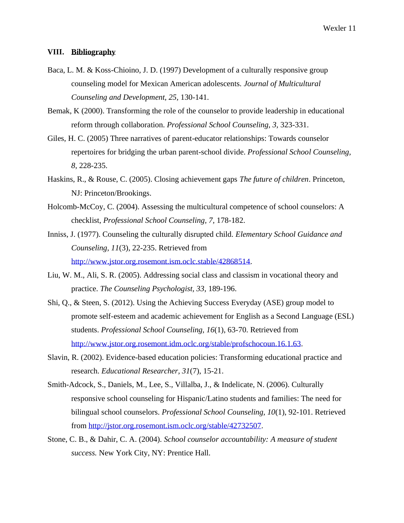#### **VIII. Bibliography**

- Baca, L. M. & Koss-Chioino, J. D. (1997) Development of a culturally responsive group counseling model for Mexican American adolescents. *Journal of Multicultural Counseling and Development, 25,* 130-141.
- Bemak, K (2000). Transforming the role of the counselor to provide leadership in educational reform through collaboration. *Professional School Counseling, 3,* 323-331.
- Giles, H. C. (2005) Three narratives of parent-educator relationships: Towards counselor repertoires for bridging the urban parent-school divide. *Professional School Counseling, 8*, 228-235.
- Haskins, R., & Rouse, C. (2005). Closing achievement gaps *The future of children*. Princeton, NJ: Princeton/Brookings.
- Holcomb-McCoy, C. (2004). Assessing the multicultural competence of school counselors: A checklist, *Professional School Counseling, 7,* 178-182.
- Inniss, J. (1977). Counseling the culturally disrupted child. *Elementary School Guidance and Counseling, 11*(3), 22-235. Retrieved from [http://www.jstor.org.rosemont.ism.oclc.stable/42868514.](http://www.jstor.org.rosemont.ism.oclc.stable/42868514)
- Liu, W. M., Ali, S. R. (2005). Addressing social class and classism in vocational theory and practice. *The Counseling Psychologist, 33*, 189-196.
- Shi, Q., & Steen, S. (2012). Using the Achieving Success Everyday (ASE) group model to promote self-esteem and academic achievement for English as a Second Language (ESL) students. *Professional School Counseling, 16*(1), 63-70. Retrieved from [http://www.jstor.org.rosemont.idm.oclc.org/stable/profschocoun.16.1.63.](http://www.jstor.org.rosemont.idm.oclc.org/stable/profschocoun.16.1.63)
- Slavin, R. (2002). Evidence-based education policies: Transforming educational practice and research. *Educational Researcher, 31*(7), 15-21.
- Smith-Adcock, S., Daniels, M., Lee, S., Villalba, J., & Indelicate, N. (2006). Culturally responsive school counseling for Hispanic/Latino students and families: The need for bilingual school counselors. *Professional School Counseling, 10*(1), 92-101. Retrieved from [http://jstor.org.rosemont.ism.oclc.org/stable/42732507.](http://jstor.org.rosemont.ism.oclc.org/stable/42732507)
- Stone, C. B., & Dahir, C. A. (2004). *School counselor accountability: A measure of student success.* New York City, NY: Prentice Hall.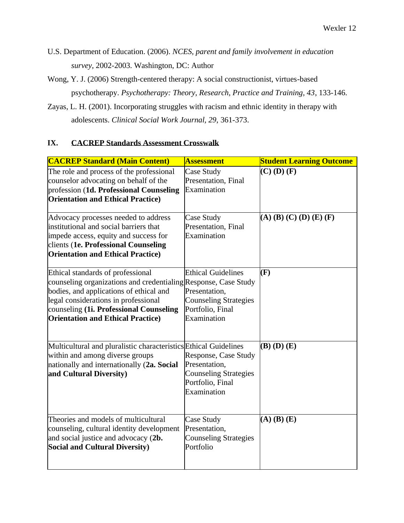- U.S. Department of Education. (2006). *NCES, parent and family involvement in education survey,* 2002-2003. Washington, DC: Author
- Wong, Y. J. (2006) Strength-centered therapy: A social constructionist, virtues-based psychotherapy. *Psychotherapy: Theory, Research, Practice and Training, 43*, 133-146.
- Zayas, L. H. (2001). Incorporating struggles with racism and ethnic identity in therapy with adolescents. *Clinical Social Work Journal, 29*, 361-373.

# **IX. CACREP Standards Assessment Crosswalk**

| <b>CACREP Standard (Main Content)</b>                                                                                                                                                                                                                                           | <b>Assessment</b>                                                                                             | <b>Student Learning Outcome</b> |
|---------------------------------------------------------------------------------------------------------------------------------------------------------------------------------------------------------------------------------------------------------------------------------|---------------------------------------------------------------------------------------------------------------|---------------------------------|
| The role and process of the professional<br>counselor advocating on behalf of the<br>profession (1d. Professional Counseling<br><b>Orientation and Ethical Practice</b> )                                                                                                       | Case Study<br>Presentation, Final<br>Examination                                                              | $(C)$ (D) $(F)$                 |
| Advocacy processes needed to address<br>institutional and social barriers that<br>impede access, equity and success for<br>clients (1e. Professional Counseling<br><b>Orientation and Ethical Practice</b> )                                                                    | Case Study<br>Presentation, Final<br>Examination                                                              | $(A)$ (B) (C) (D) (E) (F)       |
| Ethical standards of professional<br>counseling organizations and credentialing Response, Case Study<br>bodies, and applications of ethical and<br>legal considerations in professional<br>counseling (1i. Professional Counseling<br><b>Orientation and Ethical Practice</b> ) | <b>Ethical Guidelines</b><br>Presentation,<br><b>Counseling Strategies</b><br>Portfolio, Final<br>Examination | (F)                             |
| Multicultural and pluralistic characteristics Ethical Guidelines<br>within and among diverse groups<br>nationally and internationally (2a. Social<br>and Cultural Diversity)                                                                                                    | Response, Case Study<br>Presentation,<br><b>Counseling Strategies</b><br>Portfolio, Final<br>Examination      | $(B)$ $(D)$ $(E)$               |
| Theories and models of multicultural<br>counseling, cultural identity development<br>and social justice and advocacy (2b.<br><b>Social and Cultural Diversity)</b>                                                                                                              | Case Study<br>Presentation,<br><b>Counseling Strategies</b><br>Portfolio                                      | $(A)$ $(B)$ $(E)$               |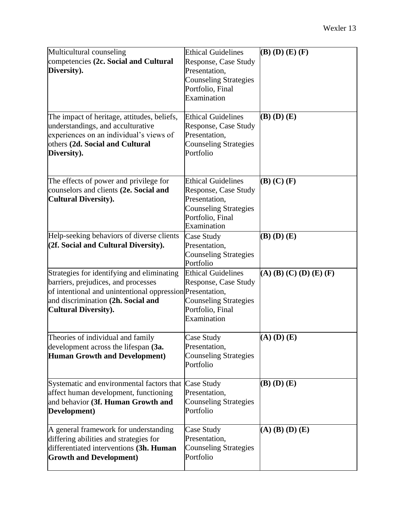| Multicultural counseling<br>competencies (2c. Social and Cultural<br>Diversity).<br>The impact of heritage, attitudes, beliefs,                                                                                     | <b>Ethical Guidelines</b><br>Response, Case Study<br>Presentation,<br><b>Counseling Strategies</b><br>Portfolio, Final<br>Examination<br><b>Ethical Guidelines</b> | $(B)$ (D) $(E)$ (F)<br>$(B)$ $(D)$ $(E)$ |
|---------------------------------------------------------------------------------------------------------------------------------------------------------------------------------------------------------------------|--------------------------------------------------------------------------------------------------------------------------------------------------------------------|------------------------------------------|
| understandings, and acculturative<br>experiences on an individual's views of<br>others (2d. Social and Cultural<br>Diversity).                                                                                      | Response, Case Study<br>Presentation,<br><b>Counseling Strategies</b><br>Portfolio                                                                                 |                                          |
| The effects of power and privilege for<br>counselors and clients (2e. Social and<br><b>Cultural Diversity).</b>                                                                                                     | <b>Ethical Guidelines</b><br>Response, Case Study<br>Presentation,<br><b>Counseling Strategies</b><br>Portfolio, Final<br>Examination                              | $(B)$ $(C)$ $(F)$                        |
| Help-seeking behaviors of diverse clients<br>(2f. Social and Cultural Diversity).                                                                                                                                   | Case Study<br>Presentation,<br><b>Counseling Strategies</b><br>Portfolio                                                                                           | $(B)$ $(D)$ $(E)$                        |
| Strategies for identifying and eliminating<br>barriers, prejudices, and processes<br>of intentional and unintentional oppression Presentation,<br>and discrimination (2h. Social and<br><b>Cultural Diversity).</b> | <b>Ethical Guidelines</b><br>Response, Case Study<br><b>Counseling Strategies</b><br>Portfolio, Final<br>Examination                                               | $(A)$ (B) (C) (D) (E) (F)                |
| Theories of individual and family<br>development across the lifespan (3a.<br><b>Human Growth and Development)</b>                                                                                                   | Case Study<br>Presentation,<br><b>Counseling Strategies</b><br>Portfolio                                                                                           | $(A)$ (D) $(E)$                          |
| Systematic and environmental factors that<br>affect human development, functioning<br>and behavior (3f. Human Growth and<br>Development)                                                                            | Case Study<br>Presentation,<br><b>Counseling Strategies</b><br>Portfolio                                                                                           | $(B)$ $(D)$ $(E)$                        |
| A general framework for understanding<br>differing abilities and strategies for<br>differentiated interventions (3h. Human<br><b>Growth and Development)</b>                                                        | Case Study<br>Presentation,<br><b>Counseling Strategies</b><br>Portfolio                                                                                           | $(A)$ $(B)$ $(D)$ $(E)$                  |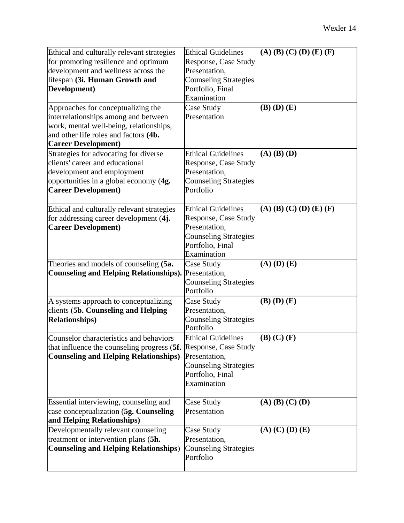| Ethical and culturally relevant strategies                       | <b>Ethical Guidelines</b>    | $(A)$ (B) (C) (D) (E) (F) |
|------------------------------------------------------------------|------------------------------|---------------------------|
| for promoting resilience and optimum                             | <b>Response, Case Study</b>  |                           |
| development and wellness across the                              | Presentation,                |                           |
| lifespan (3i. Human Growth and                                   | <b>Counseling Strategies</b> |                           |
| Development)                                                     | Portfolio, Final             |                           |
|                                                                  | Examination                  |                           |
| Approaches for conceptualizing the                               | Case Study                   | $(B)$ $(D)$ $(E)$         |
| interrelationships among and between                             | Presentation                 |                           |
| work, mental well-being, relationships,                          |                              |                           |
| and other life roles and factors (4b.                            |                              |                           |
| <b>Career Development)</b>                                       |                              |                           |
| Strategies for advocating for diverse                            | <b>Ethical Guidelines</b>    | $(A)$ $(B)$ $(D)$         |
| clients' career and educational                                  | Response, Case Study         |                           |
| development and employment                                       | Presentation,                |                           |
| opportunities in a global economy (4g.                           | <b>Counseling Strategies</b> |                           |
| <b>Career Development)</b>                                       | Portfolio                    |                           |
| Ethical and culturally relevant strategies                       | <b>Ethical Guidelines</b>    | $(A)$ (B) (C) (D) (E) (F) |
| for addressing career development (4j.                           | Response, Case Study         |                           |
| <b>Career Development)</b>                                       | Presentation,                |                           |
|                                                                  | <b>Counseling Strategies</b> |                           |
|                                                                  | Portfolio, Final             |                           |
|                                                                  | Examination                  |                           |
| Theories and models of counseling (5a.                           | Case Study                   | $(A)$ $(D)$ $(E)$         |
| <b>Counseling and Helping Relationships).</b>                    | Presentation,                |                           |
|                                                                  | <b>Counseling Strategies</b> |                           |
|                                                                  | Portfolio                    |                           |
| A systems approach to conceptualizing                            | Case Study                   | $(B)$ $(D)$ $(E)$         |
| clients (5b. Counseling and Helping                              | Presentation,                |                           |
| <b>Relationships)</b>                                            | <b>Counseling Strategies</b> |                           |
|                                                                  | Portfolio                    |                           |
| Counselor characteristics and behaviors                          | <b>Ethical Guidelines</b>    | $(B)$ $(C)$ $(F)$         |
| that influence the counseling progress (5f. Response, Case Study |                              |                           |
| <b>Counseling and Helping Relationships)</b>                     | Presentation,                |                           |
|                                                                  | <b>Counseling Strategies</b> |                           |
|                                                                  | Portfolio, Final             |                           |
|                                                                  | Examination                  |                           |
| Essential interviewing, counseling and                           | Case Study                   | $(A)$ $(B)$ $(C)$ $(D)$   |
| case conceptualization (5g. Counseling                           | Presentation                 |                           |
| and Helping Relationships)                                       |                              |                           |
| Developmentally relevant counseling                              | Case Study                   | $(A)$ $(C)$ $(D)$ $(E)$   |
| treatment or intervention plans (5h.                             | Presentation,                |                           |
| <b>Counseling and Helping Relationships)</b>                     | <b>Counseling Strategies</b> |                           |
|                                                                  | Portfolio                    |                           |
|                                                                  |                              |                           |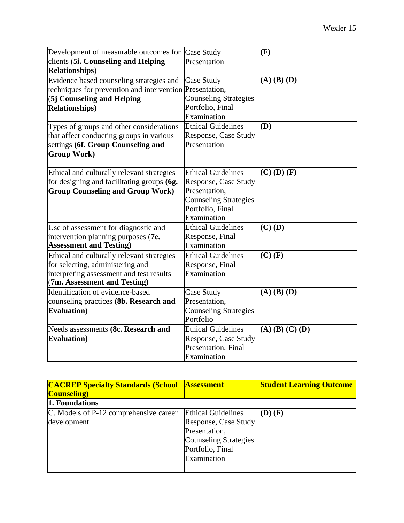| Development of measurable outcomes for Case Study        |                              | (F)               |
|----------------------------------------------------------|------------------------------|-------------------|
| clients (5i. Counseling and Helping                      | Presentation                 |                   |
| <b>Relationships</b> )                                   |                              |                   |
| Evidence based counseling strategies and                 | Case Study                   | $(A)$ $(B)$ $(D)$ |
| techniques for prevention and intervention Presentation, |                              |                   |
| (5j Counseling and Helping                               | <b>Counseling Strategies</b> |                   |
| <b>Relationships)</b>                                    | Portfolio, Final             |                   |
|                                                          | Examination                  |                   |
| Types of groups and other considerations                 | <b>Ethical Guidelines</b>    | (D)               |
| that affect conducting groups in various                 | Response, Case Study         |                   |
| settings (6f. Group Counseling and                       | Presentation                 |                   |
| <b>Group Work</b> )                                      |                              |                   |
|                                                          |                              |                   |
| Ethical and culturally relevant strategies               | <b>Ethical Guidelines</b>    | $(C)$ (D) $(F)$   |
| for designing and facilitating groups (6g.               | Response, Case Study         |                   |
| <b>Group Counseling and Group Work)</b>                  | Presentation,                |                   |
|                                                          | <b>Counseling Strategies</b> |                   |
|                                                          | Portfolio, Final             |                   |
|                                                          | Examination                  |                   |
| Use of assessment for diagnostic and                     | <b>Ethical Guidelines</b>    | $(C)$ (D)         |
| intervention planning purposes (7e.                      | Response, Final              |                   |
| <b>Assessment and Testing)</b>                           | Examination                  |                   |
| Ethical and culturally relevant strategies               | <b>Ethical Guidelines</b>    | $(C)$ $(F)$       |
| for selecting, administering and                         | Response, Final              |                   |
| interpreting assessment and test results                 | Examination                  |                   |
| (7m. Assessment and Testing)                             |                              |                   |
| Identification of evidence-based                         | Case Study                   | $(A)$ $(B)$ $(D)$ |
| counseling practices (8b. Research and                   | Presentation,                |                   |
| <b>Evaluation</b> )                                      | <b>Counseling Strategies</b> |                   |
|                                                          | Portfolio                    |                   |
| Needs assessments (8c. Research and                      | <b>Ethical Guidelines</b>    | $(A)$ (B) (C) (D) |
| <b>Evaluation</b> )                                      | Response, Case Study         |                   |
|                                                          | Presentation, Final          |                   |
|                                                          | Examination                  |                   |

| <b>CACREP Specialty Standards (School)</b><br><b>Counseling</b> ) | <b>Assessment</b>            | <b>Student Learning Outcome</b> |
|-------------------------------------------------------------------|------------------------------|---------------------------------|
| 1. Foundations                                                    |                              |                                 |
| C. Models of P-12 comprehensive career                            | <b>Ethical Guidelines</b>    | $(D)$ $(F)$                     |
| development                                                       | Response, Case Study         |                                 |
|                                                                   | Presentation,                |                                 |
|                                                                   | <b>Counseling Strategies</b> |                                 |
|                                                                   | Portfolio, Final             |                                 |
|                                                                   | Examination                  |                                 |
|                                                                   |                              |                                 |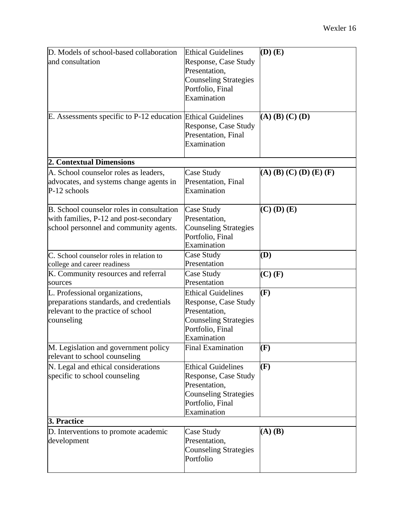| D. Models of school-based collaboration                      | <b>Ethical Guidelines</b>    | $(D)$ $(E)$               |
|--------------------------------------------------------------|------------------------------|---------------------------|
| and consultation                                             | Response, Case Study         |                           |
|                                                              | Presentation,                |                           |
|                                                              | <b>Counseling Strategies</b> |                           |
|                                                              | Portfolio, Final             |                           |
|                                                              | Examination                  |                           |
|                                                              |                              |                           |
| E. Assessments specific to P-12 education Ethical Guidelines |                              | $(A)$ $(B)$ $(C)$ $(D)$   |
|                                                              | Response, Case Study         |                           |
|                                                              | Presentation, Final          |                           |
|                                                              | Examination                  |                           |
| 2. Contextual Dimensions                                     |                              |                           |
| A. School counselor roles as leaders,                        | Case Study                   | $(A)$ (B) (C) (D) (E) (F) |
| advocates, and systems change agents in                      | Presentation, Final          |                           |
| $P-12$ schools                                               | Examination                  |                           |
| B. School counselor roles in consultation                    | Case Study                   | $(C)$ (D) $(E)$           |
| with families, P-12 and post-secondary                       | Presentation,                |                           |
| school personnel and community agents.                       | <b>Counseling Strategies</b> |                           |
|                                                              | Portfolio, Final             |                           |
|                                                              | Examination                  |                           |
| C. School counselor roles in relation to                     | Case Study                   | (D)                       |
| college and career readiness                                 | Presentation                 |                           |
| K. Community resources and referral                          | Case Study                   | $(C)$ $(F)$               |
| sources                                                      | Presentation                 |                           |
| L. Professional organizations,                               | <b>Ethical Guidelines</b>    | (F)                       |
| preparations standards, and credentials                      | Response, Case Study         |                           |
| relevant to the practice of school                           | Presentation,                |                           |
| counseling                                                   | <b>Counseling Strategies</b> |                           |
|                                                              | Portfolio, Final             |                           |
|                                                              | Examination                  |                           |
| M. Legislation and government policy                         | <b>Final Examination</b>     | $(\mathbf{F})$            |
| relevant to school counseling                                |                              |                           |
| N. Legal and ethical considerations                          | <b>Ethical Guidelines</b>    | (F)                       |
| specific to school counseling                                | Response, Case Study         |                           |
|                                                              | Presentation,                |                           |
|                                                              | <b>Counseling Strategies</b> |                           |
|                                                              | Portfolio, Final             |                           |
|                                                              | Examination                  |                           |
| 3. Practice                                                  |                              |                           |
| D. Interventions to promote academic                         | Case Study                   | $(A)$ $(B)$               |
| development                                                  | Presentation,                |                           |
|                                                              | <b>Counseling Strategies</b> |                           |
|                                                              | Portfolio                    |                           |
|                                                              |                              |                           |